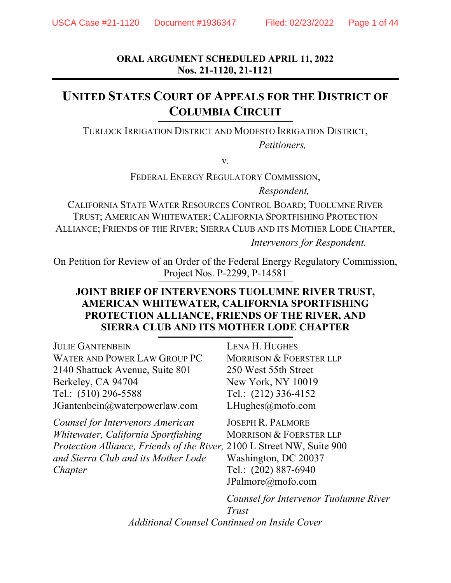**ORAL ARGUMENT SCHEDULED APRIL 11, 2022 Nos. 21-1120, 21-1121** 

# **UNITED STATES COURT OF APPEALS FOR THE DISTRICT OF COLUMBIA CIRCUIT**

TURLOCK IRRIGATION DISTRICT AND MODESTO IRRIGATION DISTRICT, *Petitioners,* 

v.

FEDERAL ENERGY REGULATORY COMMISSION,

*Respondent,* 

CALIFORNIA STATE WATER RESOURCES CONTROL BOARD; TUOLUMNE RIVER TRUST; AMERICAN WHITEWATER; CALIFORNIA SPORTFISHING PROTECTION ALLIANCE; FRIENDS OF THE RIVER; SIERRA CLUB AND ITS MOTHER LODE CHAPTER,  *Intervenors for Respondent.*

On Petition for Review of an Order of the Federal Energy Regulatory Commission, Project Nos. P-2299, P-14581

# **JOINT BRIEF OF INTERVENORS TUOLUMNE RIVER TRUST, AMERICAN WHITEWATER, CALIFORNIA SPORTFISHING PROTECTION ALLIANCE, FRIENDS OF THE RIVER, AND SIERRA CLUB AND ITS MOTHER LODE CHAPTER**

| <b>JULIE GANTENBEIN</b>                                                | <b>LENA H. HUGHES</b>                 |
|------------------------------------------------------------------------|---------------------------------------|
| WATER AND POWER LAW GROUP PC                                           | <b>MORRISON &amp; FOERSTER LLP</b>    |
| 2140 Shattuck Avenue, Suite 801                                        | 250 West 55th Street                  |
| Berkeley, CA 94704                                                     | New York, NY 10019                    |
| Tel.: (510) 296-5588                                                   | Tel.: (212) 336-4152                  |
| JGantenbein@waterpowerlaw.com                                          | LHughes@mofo.com                      |
| Counsel for Intervenors American                                       | <b>JOSEPH R. PALMORE</b>              |
| Whitewater, California Sportfishing                                    | <b>MORRISON &amp; FOERSTER LLP</b>    |
| Protection Alliance, Friends of the River, 2100 L Street NW, Suite 900 |                                       |
| and Sierra Club and its Mother Lode                                    | Washington, DC 20037                  |
| Chapter                                                                | Tel.: (202) 887-6940                  |
|                                                                        | JPalmore@mofo.com                     |
|                                                                        | Counsel for Intervenor Tuolumne River |
|                                                                        | Trust                                 |

*Additional Counsel Continued on Inside Cover*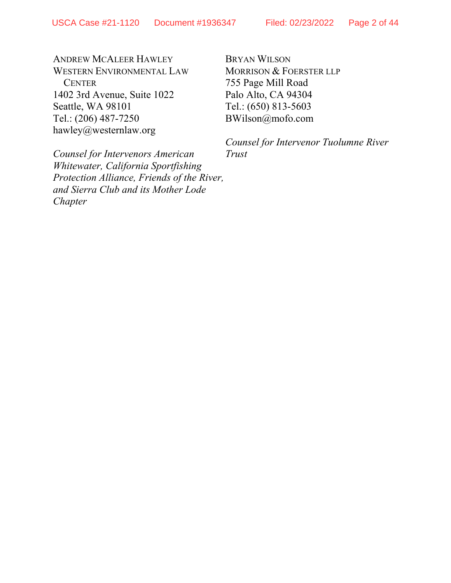ANDREW MCALEER HAWLEY WESTERN ENVIRONMENTAL LAW **CENTER** 1402 3rd Avenue, Suite 1022 Seattle, WA 98101 Tel.: (206) 487-7250 hawley@westernlaw.org

BRYAN WILSON MORRISON & FOERSTER LLP 755 Page Mill Road Palo Alto, CA 94304 Tel.: (650) 813-5603 BWilson@mofo.com

*Counsel for Intervenor Tuolumne River Trust*

*Counsel for Intervenors American Whitewater, California Sportfishing Protection Alliance, Friends of the River, and Sierra Club and its Mother Lode Chapter*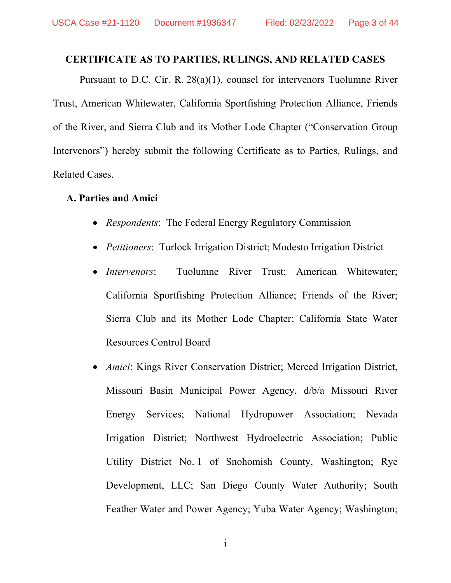#### **CERTIFICATE AS TO PARTIES, RULINGS, AND RELATED CASES**

Pursuant to D.C. Cir. R. 28(a)(1), counsel for intervenors Tuolumne River Trust, American Whitewater, California Sportfishing Protection Alliance, Friends of the River, and Sierra Club and its Mother Lode Chapter ("Conservation Group Intervenors") hereby submit the following Certificate as to Parties, Rulings, and Related Cases.

#### **A. Parties and Amici**

- *Respondents*: The Federal Energy Regulatory Commission
- *Petitioners*: Turlock Irrigation District; Modesto Irrigation District
- *Intervenors*: Tuolumne River Trust; American Whitewater; California Sportfishing Protection Alliance; Friends of the River; Sierra Club and its Mother Lode Chapter; California State Water Resources Control Board
- *Amici*: Kings River Conservation District; Merced Irrigation District, Missouri Basin Municipal Power Agency, d/b/a Missouri River Energy Services; National Hydropower Association; Nevada Irrigation District; Northwest Hydroelectric Association; Public Utility District No. 1 of Snohomish County, Washington; Rye Development, LLC; San Diego County Water Authority; South Feather Water and Power Agency; Yuba Water Agency; Washington;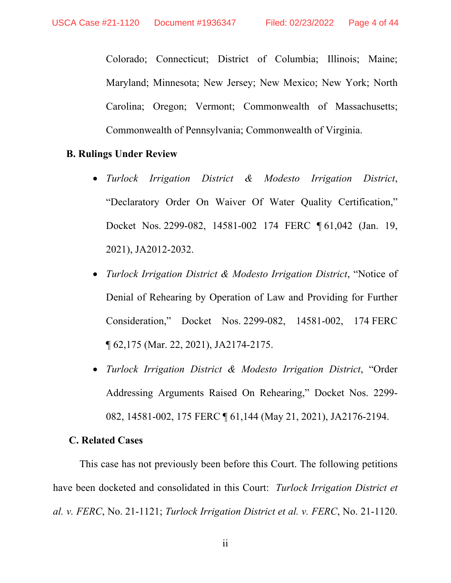Colorado; Connecticut; District of Columbia; Illinois; Maine; Maryland; Minnesota; New Jersey; New Mexico; New York; North Carolina; Oregon; Vermont; Commonwealth of Massachusetts; Commonwealth of Pennsylvania; Commonwealth of Virginia.

#### **B. Rulings Under Review**

- *Turlock Irrigation District & Modesto Irrigation District*, "Declaratory Order On Waiver Of Water Quality Certification," Docket Nos. 2299-082, 14581-002 174 FERC ¶ 61,042 (Jan. 19, 2021), JA2012-2032.
- *Turlock Irrigation District & Modesto Irrigation District*, "Notice of Denial of Rehearing by Operation of Law and Providing for Further Consideration," Docket Nos. 2299-082, 14581-002, 174 FERC ¶ 62,175 (Mar. 22, 2021), JA2174-2175.
- *Turlock Irrigation District & Modesto Irrigation District*, "Order Addressing Arguments Raised On Rehearing," Docket Nos. 2299- 082, 14581-002, 175 FERC ¶ 61,144 (May 21, 2021), JA2176-2194.

### **C. Related Cases**

This case has not previously been before this Court. The following petitions have been docketed and consolidated in this Court: *Turlock Irrigation District et al. v. FERC*, No. 21-1121; *Turlock Irrigation District et al. v. FERC*, No. 21-1120.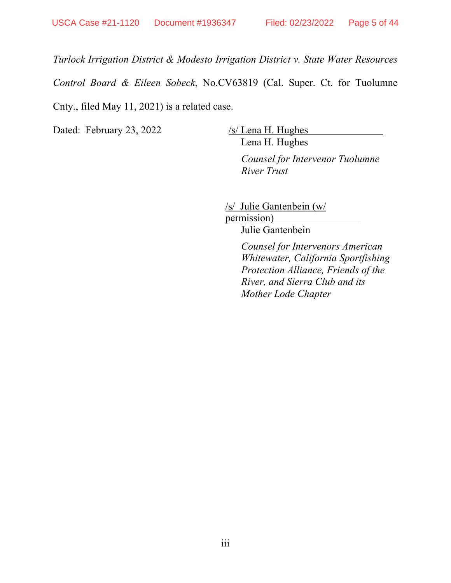*Turlock Irrigation District & Modesto Irrigation District v. State Water Resources Control Board & Eileen Sobeck*, No.CV63819 (Cal. Super. Ct. for Tuolumne Cnty., filed May 11, 2021) is a related case.

Dated: February 23, 2022 /s/ Lena H. Hughes

Lena H. Hughes

*Counsel for Intervenor Tuolumne River Trust*

/s/ Julie Gantenbein (w/ permission)

Julie Gantenbein

*Counsel for Intervenors American Whitewater, California Sportfishing Protection Alliance, Friends of the River, and Sierra Club and its Mother Lode Chapter*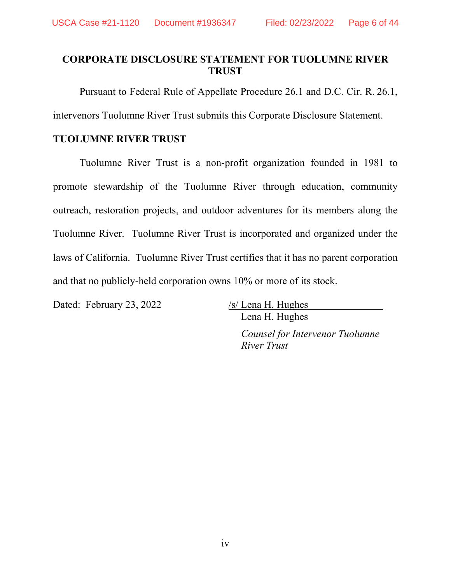# **CORPORATE DISCLOSURE STATEMENT FOR TUOLUMNE RIVER TRUST**

Pursuant to Federal Rule of Appellate Procedure 26.1 and D.C. Cir. R. 26.1,

intervenors Tuolumne River Trust submits this Corporate Disclosure Statement.

### **TUOLUMNE RIVER TRUST**

Tuolumne River Trust is a non-profit organization founded in 1981 to promote stewardship of the Tuolumne River through education, community outreach, restoration projects, and outdoor adventures for its members along the Tuolumne River. Tuolumne River Trust is incorporated and organized under the laws of California. Tuolumne River Trust certifies that it has no parent corporation and that no publicly-held corporation owns 10% or more of its stock.

Dated: February 23, 2022 /s/ Lena H. Hughes

 Lena H. Hughes *Counsel for Intervenor Tuolumne River Trust*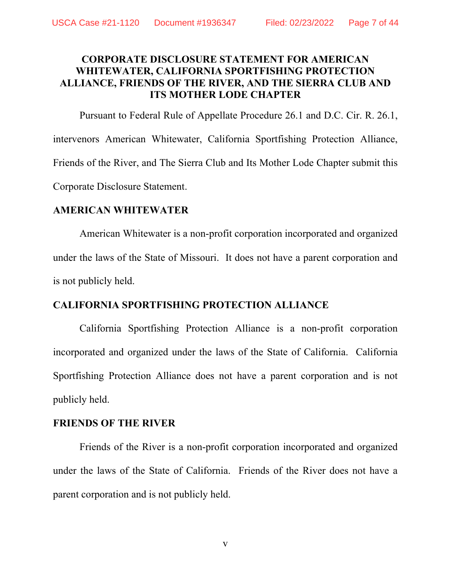# **CORPORATE DISCLOSURE STATEMENT FOR AMERICAN WHITEWATER, CALIFORNIA SPORTFISHING PROTECTION ALLIANCE, FRIENDS OF THE RIVER, AND THE SIERRA CLUB AND ITS MOTHER LODE CHAPTER**

 Pursuant to Federal Rule of Appellate Procedure 26.1 and D.C. Cir. R. 26.1, intervenors American Whitewater, California Sportfishing Protection Alliance, Friends of the River, and The Sierra Club and Its Mother Lode Chapter submit this Corporate Disclosure Statement.

# **AMERICAN WHITEWATER**

American Whitewater is a non-profit corporation incorporated and organized under the laws of the State of Missouri. It does not have a parent corporation and is not publicly held.

# **CALIFORNIA SPORTFISHING PROTECTION ALLIANCE**

California Sportfishing Protection Alliance is a non-profit corporation incorporated and organized under the laws of the State of California. California Sportfishing Protection Alliance does not have a parent corporation and is not publicly held.

# **FRIENDS OF THE RIVER**

Friends of the River is a non-profit corporation incorporated and organized under the laws of the State of California. Friends of the River does not have a parent corporation and is not publicly held.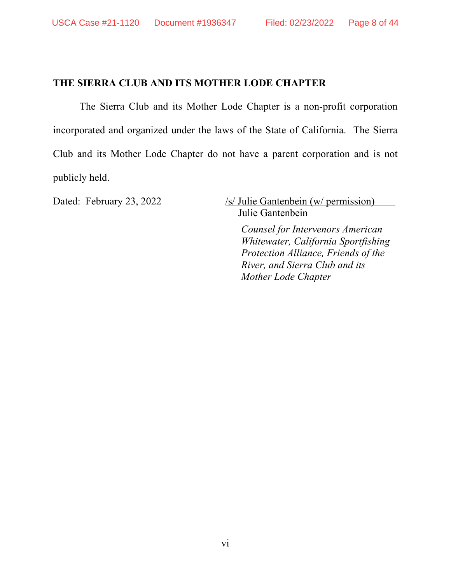# **THE SIERRA CLUB AND ITS MOTHER LODE CHAPTER**

The Sierra Club and its Mother Lode Chapter is a non-profit corporation incorporated and organized under the laws of the State of California. The Sierra Club and its Mother Lode Chapter do not have a parent corporation and is not publicly held.

Dated: February 23, 2022 /s/ Julie Gantenbein (w/ permission) Julie Gantenbein

> *Counsel for Intervenors American Whitewater, California Sportfishing Protection Alliance, Friends of the River, and Sierra Club and its Mother Lode Chapter*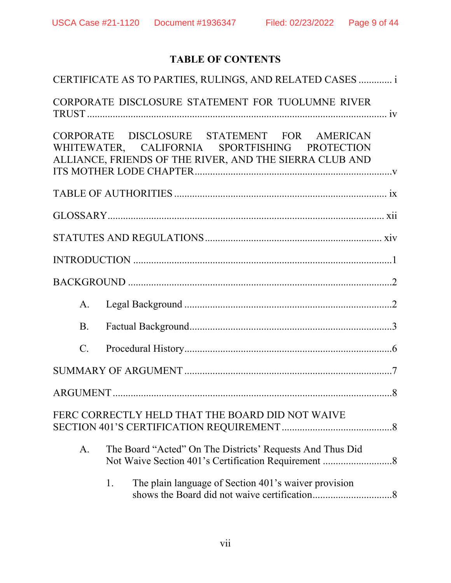# **TABLE OF CONTENTS**

|             | CERTIFICATE AS TO PARTIES, RULINGS, AND RELATED CASES  i                                                                                                 |
|-------------|----------------------------------------------------------------------------------------------------------------------------------------------------------|
|             | CORPORATE DISCLOSURE STATEMENT FOR TUOLUMNE RIVER                                                                                                        |
|             | CORPORATE DISCLOSURE STATEMENT FOR AMERICAN<br>WHITEWATER, CALIFORNIA SPORTFISHING PROTECTION<br>ALLIANCE, FRIENDS OF THE RIVER, AND THE SIERRA CLUB AND |
|             |                                                                                                                                                          |
|             |                                                                                                                                                          |
|             |                                                                                                                                                          |
|             |                                                                                                                                                          |
|             |                                                                                                                                                          |
| A.          |                                                                                                                                                          |
| <b>B.</b>   |                                                                                                                                                          |
| $C_{\cdot}$ |                                                                                                                                                          |
|             |                                                                                                                                                          |
|             |                                                                                                                                                          |
|             | FERC CORRECTLY HELD THAT THE BOARD DID NOT WAIVE                                                                                                         |
| A.          | The Board "Acted" On The Districts' Requests And Thus Did                                                                                                |
|             | The plain language of Section 401's waiver provision<br>1.                                                                                               |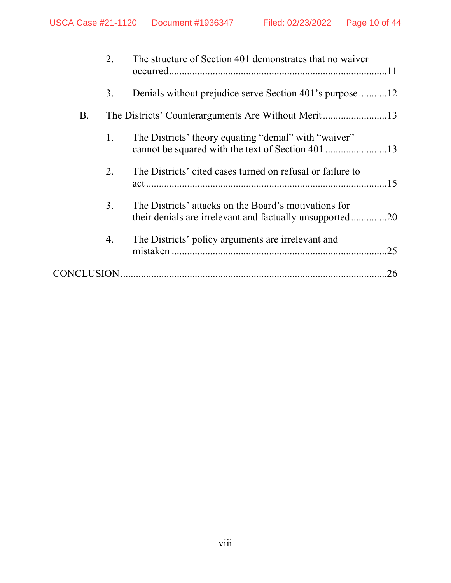|                   | 2. | The structure of Section 401 demonstrates that no waiver                                                          |
|-------------------|----|-------------------------------------------------------------------------------------------------------------------|
|                   | 3. | Denials without prejudice serve Section 401's purpose12                                                           |
| Β.                |    |                                                                                                                   |
|                   | 1. | The Districts' theory equating "denial" with "waiver"                                                             |
|                   | 2. | The Districts' cited cases turned on refusal or failure to                                                        |
|                   | 3. | The Districts' attacks on the Board's motivations for<br>their denials are irrelevant and factually unsupported20 |
|                   | 4. | The Districts' policy arguments are irrelevant and<br>.25                                                         |
| <b>CONCLUSION</b> |    | .26                                                                                                               |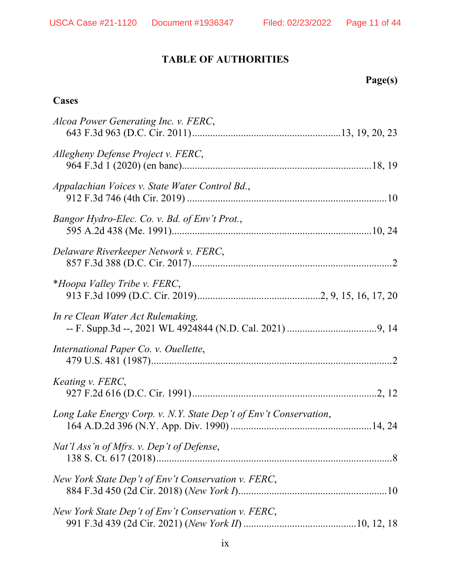# **TABLE OF AUTHORITIES**

# **Page(s)**

# **Cases**

| Alcoa Power Generating Inc. v. FERC,                              |
|-------------------------------------------------------------------|
| Allegheny Defense Project v. FERC,                                |
| Appalachian Voices v. State Water Control Bd.,                    |
| Bangor Hydro-Elec. Co. v. Bd. of Env't Prot.,                     |
| Delaware Riverkeeper Network v. FERC,                             |
| *Hoopa Valley Tribe v. FERC,                                      |
| In re Clean Water Act Rulemaking,                                 |
| International Paper Co. v. Ouellette,                             |
| Keating v. FERC,                                                  |
| Long Lake Energy Corp. v. N.Y. State Dep't of Env't Conservation, |
| Nat'l Ass'n of Mfrs. v. Dep't of Defense,                         |
| New York State Dep't of Env't Conservation v. FERC,               |
| New York State Dep't of Env't Conservation v. FERC,               |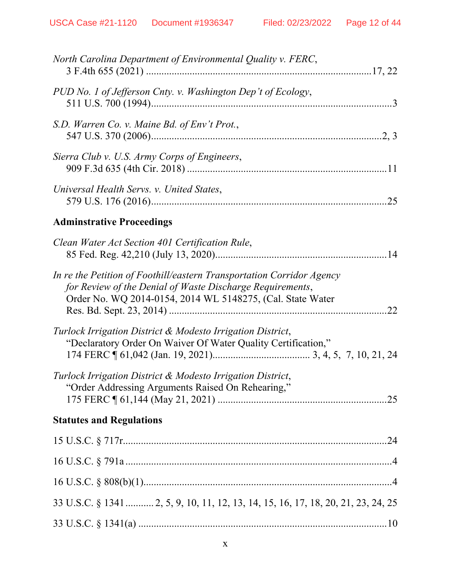| North Carolina Department of Environmental Quality v. FERC,                                                                                                                                             |
|---------------------------------------------------------------------------------------------------------------------------------------------------------------------------------------------------------|
| PUD No. 1 of Jefferson Cnty. v. Washington Dep't of Ecology,                                                                                                                                            |
| S.D. Warren Co. v. Maine Bd. of Env't Prot.,                                                                                                                                                            |
| Sierra Club v. U.S. Army Corps of Engineers,                                                                                                                                                            |
| Universal Health Servs. v. United States,                                                                                                                                                               |
| <b>Adminstrative Proceedings</b>                                                                                                                                                                        |
| Clean Water Act Section 401 Certification Rule,                                                                                                                                                         |
| In re the Petition of Foothill/eastern Transportation Corridor Agency<br>for Review of the Denial of Waste Discharge Requirements,<br>Order No. WQ 2014-0154, 2014 WL 5148275, (Cal. State Water<br>.22 |
| Turlock Irrigation District & Modesto Irrigation District,<br>"Declaratory Order On Waiver Of Water Quality Certification,"                                                                             |
| Turlock Irrigation District & Modesto Irrigation District,<br>"Order Addressing Arguments Raised On Rehearing,"                                                                                         |
| <b>Statutes and Regulations</b>                                                                                                                                                                         |
|                                                                                                                                                                                                         |
|                                                                                                                                                                                                         |
|                                                                                                                                                                                                         |
| 33 U.S.C. § 1341  2, 5, 9, 10, 11, 12, 13, 14, 15, 16, 17, 18, 20, 21, 23, 24, 25                                                                                                                       |
|                                                                                                                                                                                                         |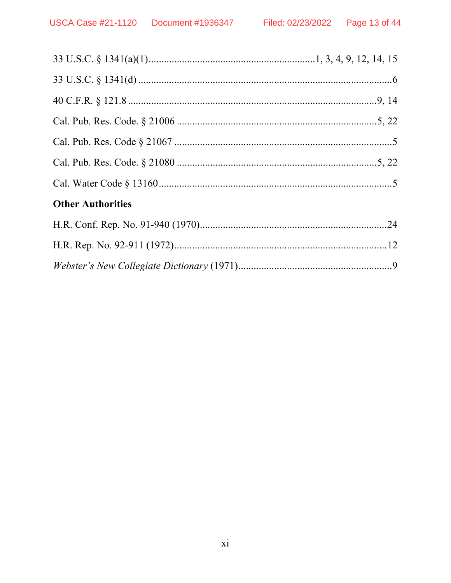| <b>Other Authorities</b> |  |
|--------------------------|--|
|                          |  |
|                          |  |
|                          |  |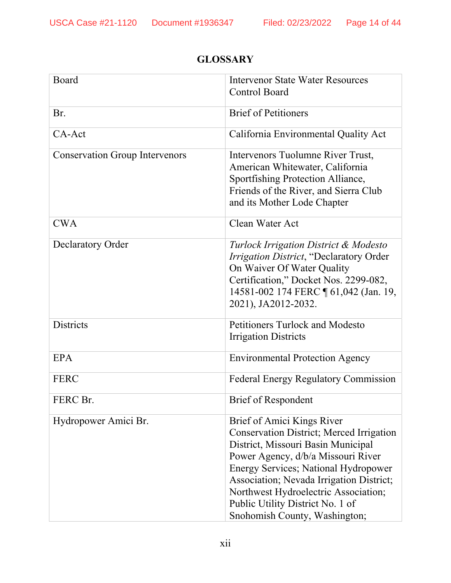# Board Intervenor State Water Resources Control Board Br. Brief of Petitioners CA-Act CA-Act California Environmental Quality Act Conservation Group Intervenors | Intervenors Tuolumne River Trust, American Whitewater, California Sportfishing Protection Alliance, Friends of the River, and Sierra Club and its Mother Lode Chapter CWA Clean Water Act Declaratory Order *Turlock Irrigation District & Modesto Irrigation District*, "Declaratory Order On Waiver Of Water Quality Certification," Docket Nos. 2299-082, 14581-002 174 FERC ¶ 61,042 (Jan. 19, 2021), JA2012-2032. Districts Petitioners Turlock and Modesto Irrigation Districts EPA Environmental Protection Agency FERC FERC Federal Energy Regulatory Commission FERC Br. Brief of Respondent Hydropower Amici Br. Brief of Amici Kings River Conservation District; Merced Irrigation District, Missouri Basin Municipal Power Agency, d/b/a Missouri River Energy Services; National Hydropower Association; Nevada Irrigation District; Northwest Hydroelectric Association; Public Utility District No. 1 of Snohomish County, Washington;

# **GLOSSARY**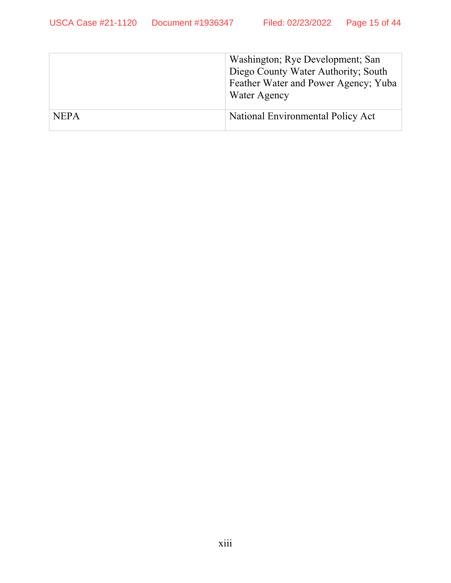|             | Washington; Rye Development; San<br>Diego County Water Authority; South<br>Feather Water and Power Agency; Yuba<br>Water Agency |
|-------------|---------------------------------------------------------------------------------------------------------------------------------|
| <b>NEPA</b> | National Environmental Policy Act                                                                                               |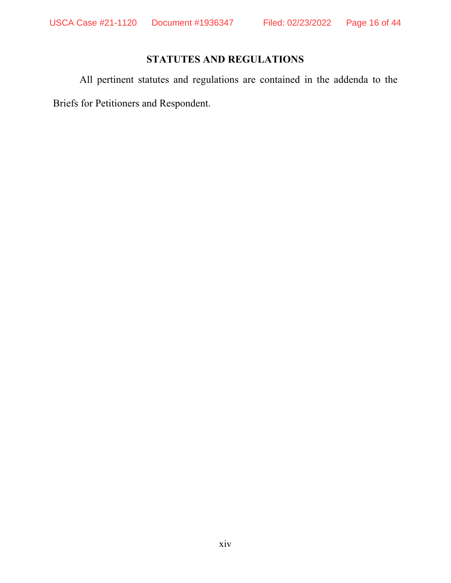# **STATUTES AND REGULATIONS**

All pertinent statutes and regulations are contained in the addenda to the Briefs for Petitioners and Respondent.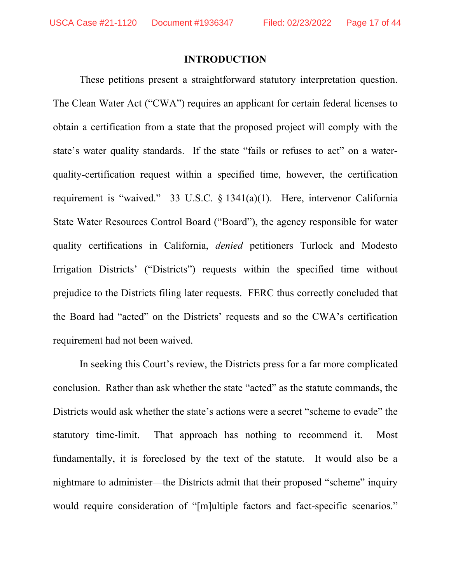#### **INTRODUCTION**

These petitions present a straightforward statutory interpretation question. The Clean Water Act ("CWA") requires an applicant for certain federal licenses to obtain a certification from a state that the proposed project will comply with the state's water quality standards. If the state "fails or refuses to act" on a waterquality-certification request within a specified time, however, the certification requirement is "waived." 33 U.S.C. § 1341(a)(1). Here, intervenor California State Water Resources Control Board ("Board"), the agency responsible for water quality certifications in California, *denied* petitioners Turlock and Modesto Irrigation Districts' ("Districts") requests within the specified time without prejudice to the Districts filing later requests. FERC thus correctly concluded that the Board had "acted" on the Districts' requests and so the CWA's certification requirement had not been waived.

In seeking this Court's review, the Districts press for a far more complicated conclusion. Rather than ask whether the state "acted" as the statute commands, the Districts would ask whether the state's actions were a secret "scheme to evade" the statutory time-limit. That approach has nothing to recommend it. Most fundamentally, it is foreclosed by the text of the statute. It would also be a nightmare to administer—the Districts admit that their proposed "scheme" inquiry would require consideration of "[m]ultiple factors and fact-specific scenarios."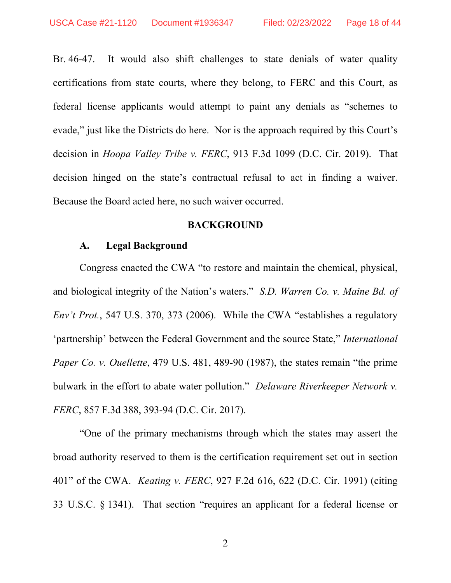Br. 46-47. It would also shift challenges to state denials of water quality certifications from state courts, where they belong, to FERC and this Court, as federal license applicants would attempt to paint any denials as "schemes to evade," just like the Districts do here. Nor is the approach required by this Court's decision in *Hoopa Valley Tribe v. FERC*, 913 F.3d 1099 (D.C. Cir. 2019). That decision hinged on the state's contractual refusal to act in finding a waiver. Because the Board acted here, no such waiver occurred.

#### **BACKGROUND**

#### **A. Legal Background**

Congress enacted the CWA "to restore and maintain the chemical, physical, and biological integrity of the Nation's waters." *S.D. Warren Co. v. Maine Bd. of Env't Prot.*, 547 U.S. 370, 373 (2006). While the CWA "establishes a regulatory 'partnership' between the Federal Government and the source State," *International Paper Co. v. Ouellette*, 479 U.S. 481, 489-90 (1987), the states remain "the prime bulwark in the effort to abate water pollution." *Delaware Riverkeeper Network v. FERC*, 857 F.3d 388, 393-94 (D.C. Cir. 2017).

"One of the primary mechanisms through which the states may assert the broad authority reserved to them is the certification requirement set out in section 401" of the CWA. *Keating v. FERC*, 927 F.2d 616, 622 (D.C. Cir. 1991) (citing 33 U.S.C. § 1341). That section "requires an applicant for a federal license or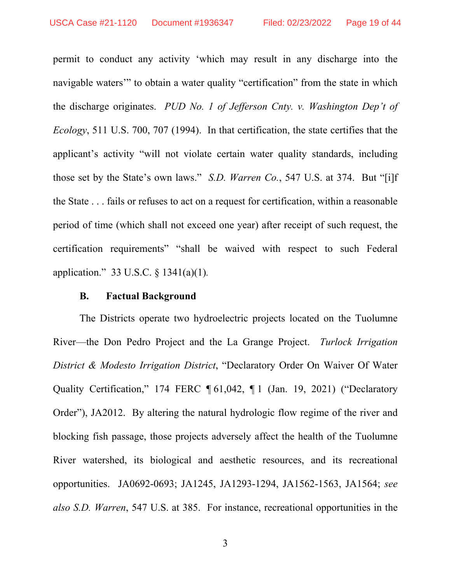permit to conduct any activity 'which may result in any discharge into the navigable waters" to obtain a water quality "certification" from the state in which the discharge originates. *PUD No. 1 of Jefferson Cnty. v. Washington Dep't of Ecology*, 511 U.S. 700, 707 (1994). In that certification, the state certifies that the applicant's activity "will not violate certain water quality standards, including those set by the State's own laws." *S.D. Warren Co.*, 547 U.S. at 374. But "[i]f the State . . . fails or refuses to act on a request for certification, within a reasonable period of time (which shall not exceed one year) after receipt of such request, the certification requirements" "shall be waived with respect to such Federal application." 33 U.S.C. § 1341(a)(1)*.*

#### **B. Factual Background**

The Districts operate two hydroelectric projects located on the Tuolumne River—the Don Pedro Project and the La Grange Project. *Turlock Irrigation District & Modesto Irrigation District*, "Declaratory Order On Waiver Of Water Quality Certification," 174 FERC ¶ 61,042, ¶ 1 (Jan. 19, 2021) ("Declaratory Order"), JA2012. By altering the natural hydrologic flow regime of the river and blocking fish passage, those projects adversely affect the health of the Tuolumne River watershed, its biological and aesthetic resources, and its recreational opportunities. JA0692-0693; JA1245, JA1293-1294, JA1562-1563, JA1564; *see also S.D. Warren*, 547 U.S. at 385. For instance, recreational opportunities in the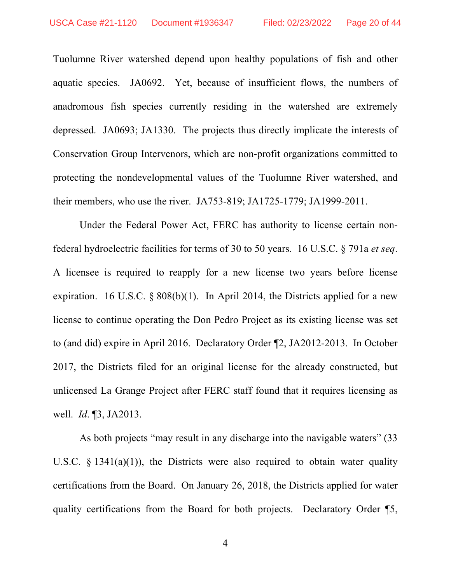Tuolumne River watershed depend upon healthy populations of fish and other aquatic species. JA0692. Yet, because of insufficient flows, the numbers of anadromous fish species currently residing in the watershed are extremely depressed. JA0693; JA1330. The projects thus directly implicate the interests of Conservation Group Intervenors, which are non-profit organizations committed to protecting the nondevelopmental values of the Tuolumne River watershed, and their members, who use the river. JA753-819; JA1725-1779; JA1999-2011.

Under the Federal Power Act, FERC has authority to license certain nonfederal hydroelectric facilities for terms of 30 to 50 years. 16 U.S.C. § 791a *et seq*. A licensee is required to reapply for a new license two years before license expiration. 16 U.S.C.  $\&$  808(b)(1). In April 2014, the Districts applied for a new license to continue operating the Don Pedro Project as its existing license was set to (and did) expire in April 2016. Declaratory Order ¶2, JA2012-2013. In October 2017, the Districts filed for an original license for the already constructed, but unlicensed La Grange Project after FERC staff found that it requires licensing as well. *Id*. ¶3, JA2013.

As both projects "may result in any discharge into the navigable waters" (33 U.S.C.  $\frac{1341(a)(1)}{10}$ , the Districts were also required to obtain water quality certifications from the Board. On January 26, 2018, the Districts applied for water quality certifications from the Board for both projects. Declaratory Order ¶5,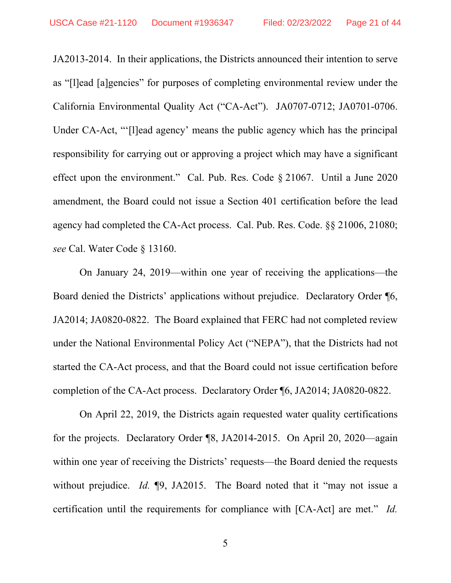JA2013-2014. In their applications, the Districts announced their intention to serve as "[l]ead [a]gencies" for purposes of completing environmental review under the California Environmental Quality Act ("CA-Act"). JA0707-0712; JA0701-0706. Under CA-Act, "'[l]ead agency' means the public agency which has the principal responsibility for carrying out or approving a project which may have a significant effect upon the environment." Cal. Pub. Res. Code § 21067. Until a June 2020 amendment, the Board could not issue a Section 401 certification before the lead agency had completed the CA-Act process. Cal. Pub. Res. Code. §§ 21006, 21080; *see* Cal. Water Code § 13160.

On January 24, 2019—within one year of receiving the applications—the Board denied the Districts' applications without prejudice. Declaratory Order ¶6, JA2014; JA0820-0822. The Board explained that FERC had not completed review under the National Environmental Policy Act ("NEPA"), that the Districts had not started the CA-Act process, and that the Board could not issue certification before completion of the CA-Act process. Declaratory Order ¶6, JA2014; JA0820-0822.

On April 22, 2019, the Districts again requested water quality certifications for the projects. Declaratory Order ¶8, JA2014-2015. On April 20, 2020—again within one year of receiving the Districts' requests—the Board denied the requests without prejudice. *Id.* **[9, JA2015.** The Board noted that it "may not issue a certification until the requirements for compliance with [CA-Act] are met." *Id.*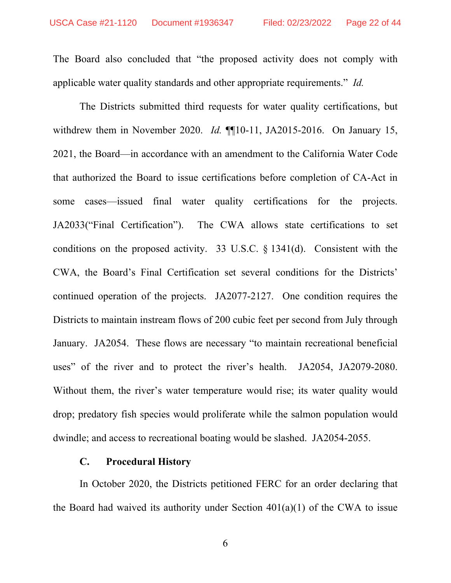The Board also concluded that "the proposed activity does not comply with applicable water quality standards and other appropriate requirements." *Id.* 

The Districts submitted third requests for water quality certifications, but withdrew them in November 2020. *Id.* **[10-11, JA2015-2016.** On January 15, 2021, the Board—in accordance with an amendment to the California Water Code that authorized the Board to issue certifications before completion of CA-Act in some cases—issued final water quality certifications for the projects. JA2033("Final Certification"). The CWA allows state certifications to set conditions on the proposed activity. 33 U.S.C. § 1341(d). Consistent with the CWA, the Board's Final Certification set several conditions for the Districts' continued operation of the projects. JA2077-2127. One condition requires the Districts to maintain instream flows of 200 cubic feet per second from July through January. JA2054. These flows are necessary "to maintain recreational beneficial uses" of the river and to protect the river's health. JA2054, JA2079-2080. Without them, the river's water temperature would rise; its water quality would drop; predatory fish species would proliferate while the salmon population would dwindle; and access to recreational boating would be slashed. JA2054-2055.

#### **C. Procedural History**

In October 2020, the Districts petitioned FERC for an order declaring that the Board had waived its authority under Section  $401(a)(1)$  of the CWA to issue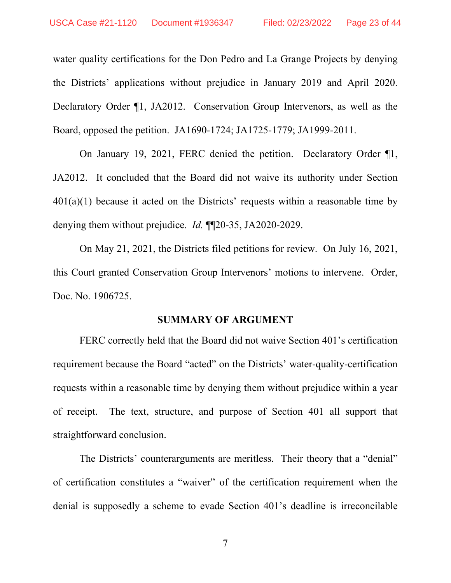water quality certifications for the Don Pedro and La Grange Projects by denying the Districts' applications without prejudice in January 2019 and April 2020. Declaratory Order ¶1, JA2012. Conservation Group Intervenors, as well as the Board, opposed the petition. JA1690-1724; JA1725-1779; JA1999-2011.

On January 19, 2021, FERC denied the petition. Declaratory Order ¶1, JA2012. It concluded that the Board did not waive its authority under Section  $401(a)(1)$  because it acted on the Districts' requests within a reasonable time by denying them without prejudice. *Id.* ¶¶20-35, JA2020-2029.

On May 21, 2021, the Districts filed petitions for review. On July 16, 2021, this Court granted Conservation Group Intervenors' motions to intervene. Order, Doc. No. 1906725.

#### **SUMMARY OF ARGUMENT**

FERC correctly held that the Board did not waive Section 401's certification requirement because the Board "acted" on the Districts' water-quality-certification requests within a reasonable time by denying them without prejudice within a year of receipt. The text, structure, and purpose of Section 401 all support that straightforward conclusion.

The Districts' counterarguments are meritless. Their theory that a "denial" of certification constitutes a "waiver" of the certification requirement when the denial is supposedly a scheme to evade Section 401's deadline is irreconcilable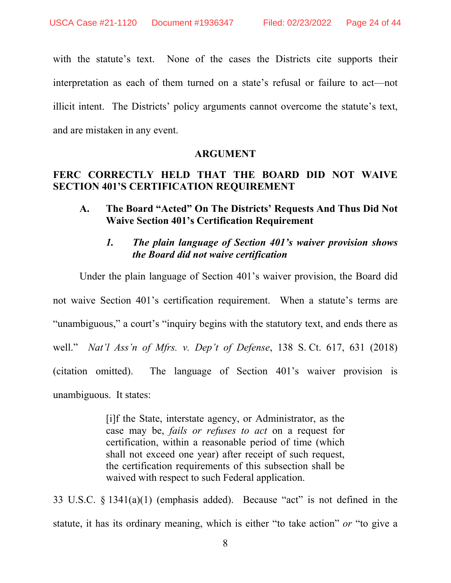with the statute's text. None of the cases the Districts cite supports their interpretation as each of them turned on a state's refusal or failure to act—not illicit intent. The Districts' policy arguments cannot overcome the statute's text, and are mistaken in any event.

#### **ARGUMENT**

# **FERC CORRECTLY HELD THAT THE BOARD DID NOT WAIVE SECTION 401'S CERTIFICATION REQUIREMENT**

**A. The Board "Acted" On The Districts' Requests And Thus Did Not Waive Section 401's Certification Requirement** 

# *1. The plain language of Section 401's waiver provision shows the Board did not waive certification*

Under the plain language of Section 401's waiver provision, the Board did not waive Section 401's certification requirement. When a statute's terms are "unambiguous," a court's "inquiry begins with the statutory text, and ends there as well." *Nat'l Ass'n of Mfrs. v. Dep't of Defense*, 138 S. Ct. 617, 631 (2018) (citation omitted). The language of Section 401's waiver provision is unambiguous. It states:

> [i]f the State, interstate agency, or Administrator, as the case may be, *fails or refuses to act* on a request for certification, within a reasonable period of time (which shall not exceed one year) after receipt of such request, the certification requirements of this subsection shall be waived with respect to such Federal application.

33 U.S.C. § 1341(a)(1) (emphasis added). Because "act" is not defined in the statute, it has its ordinary meaning, which is either "to take action" *or* "to give a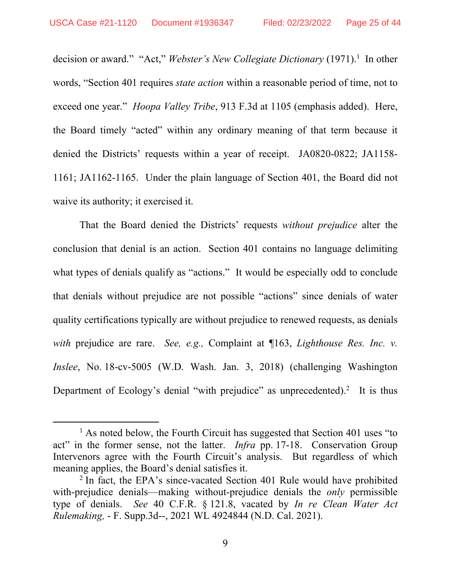decision or award." "Act," Webster's New Collegiate Dictionary (1971).<sup>1</sup> In other words, "Section 401 requires *state action* within a reasonable period of time, not to exceed one year." *Hoopa Valley Tribe*, 913 F.3d at 1105 (emphasis added). Here, the Board timely "acted" within any ordinary meaning of that term because it denied the Districts' requests within a year of receipt. JA0820-0822; JA1158- 1161; JA1162-1165. Under the plain language of Section 401, the Board did not waive its authority; it exercised it.

That the Board denied the Districts' requests *without prejudice* alter the conclusion that denial is an action. Section 401 contains no language delimiting what types of denials qualify as "actions." It would be especially odd to conclude that denials without prejudice are not possible "actions" since denials of water quality certifications typically are without prejudice to renewed requests, as denials *with* prejudice are rare. *See, e.g.,* Complaint at ¶163, *Lighthouse Res. Inc. v. Inslee*, No. 18-cv-5005 (W.D. Wash. Jan. 3, 2018) (challenging Washington Department of Ecology's denial "with prejudice" as unprecedented).<sup>2</sup> It is thus

<sup>&</sup>lt;u>1</u>  $<sup>1</sup>$  As noted below, the Fourth Circuit has suggested that Section 401 uses "to</sup> act" in the former sense, not the latter. *Infra* pp. 17-18. Conservation Group Intervenors agree with the Fourth Circuit's analysis. But regardless of which meaning applies, the Board's denial satisfies it.

<sup>&</sup>lt;sup>2</sup> In fact, the EPA's since-vacated Section 401 Rule would have prohibited with-prejudice denials—making without-prejudice denials the *only* permissible type of denials. *See* 40 C.F.R. § 121.8, vacated by *In re Clean Water Act Rulemaking,* - F. Supp.3d--, 2021 WL 4924844 (N.D. Cal. 2021).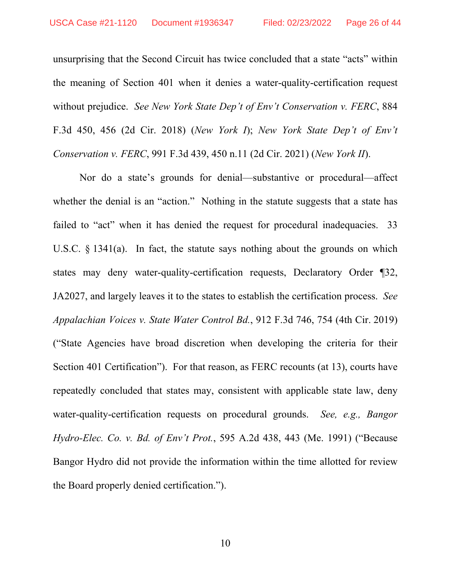unsurprising that the Second Circuit has twice concluded that a state "acts" within the meaning of Section 401 when it denies a water-quality-certification request without prejudice. *See New York State Dep't of Env't Conservation v. FERC*, 884 F.3d 450, 456 (2d Cir. 2018) (*New York I*); *New York State Dep't of Env't Conservation v. FERC*, 991 F.3d 439, 450 n.11 (2d Cir. 2021) (*New York II*).

Nor do a state's grounds for denial—substantive or procedural—affect whether the denial is an "action." Nothing in the statute suggests that a state has failed to "act" when it has denied the request for procedural inadequacies. 33 U.S.C. § 1341(a). In fact, the statute says nothing about the grounds on which states may deny water-quality-certification requests, Declaratory Order ¶32, JA2027, and largely leaves it to the states to establish the certification process. *See Appalachian Voices v. State Water Control Bd.*, 912 F.3d 746, 754 (4th Cir. 2019) ("State Agencies have broad discretion when developing the criteria for their Section 401 Certification"). For that reason, as FERC recounts (at 13), courts have repeatedly concluded that states may, consistent with applicable state law, deny water-quality-certification requests on procedural grounds. *See, e.g., Bangor Hydro-Elec. Co. v. Bd. of Env't Prot.*, 595 A.2d 438, 443 (Me. 1991) ("Because Bangor Hydro did not provide the information within the time allotted for review the Board properly denied certification.").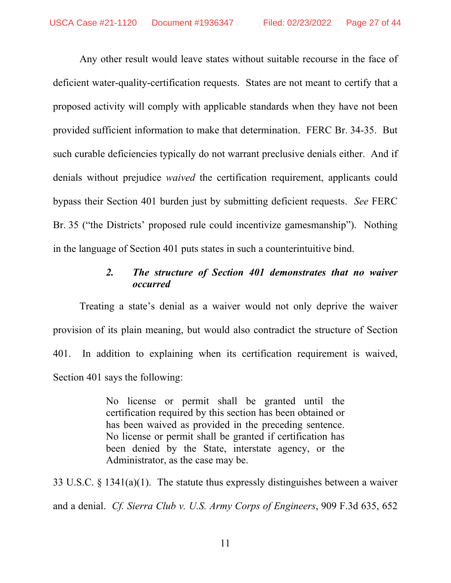Any other result would leave states without suitable recourse in the face of deficient water-quality-certification requests. States are not meant to certify that a proposed activity will comply with applicable standards when they have not been provided sufficient information to make that determination. FERC Br. 34-35. But such curable deficiencies typically do not warrant preclusive denials either. And if denials without prejudice *waived* the certification requirement, applicants could bypass their Section 401 burden just by submitting deficient requests. *See* FERC Br. 35 ("the Districts' proposed rule could incentivize gamesmanship"). Nothing in the language of Section 401 puts states in such a counterintuitive bind.

# *2. The structure of Section 401 demonstrates that no waiver occurred*

Treating a state's denial as a waiver would not only deprive the waiver provision of its plain meaning, but would also contradict the structure of Section 401. In addition to explaining when its certification requirement is waived, Section 401 says the following:

> No license or permit shall be granted until the certification required by this section has been obtained or has been waived as provided in the preceding sentence. No license or permit shall be granted if certification has been denied by the State, interstate agency, or the Administrator, as the case may be.

33 U.S.C. § 1341(a)(1). The statute thus expressly distinguishes between a waiver and a denial. *Cf. Sierra Club v. U.S. Army Corps of Engineers*, 909 F.3d 635, 652

11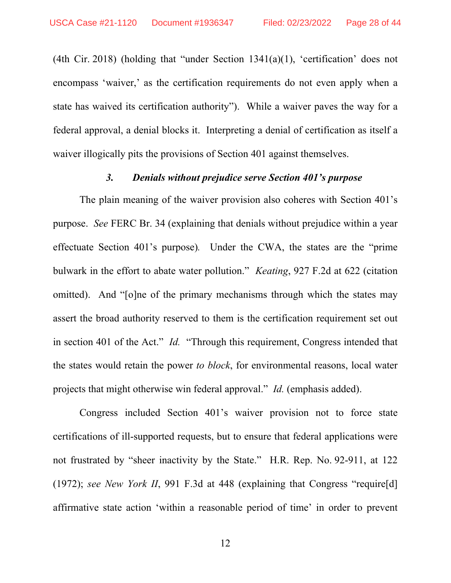(4th Cir. 2018) (holding that "under Section  $1341(a)(1)$ , 'certification' does not encompass 'waiver,' as the certification requirements do not even apply when a state has waived its certification authority"). While a waiver paves the way for a federal approval, a denial blocks it. Interpreting a denial of certification as itself a waiver illogically pits the provisions of Section 401 against themselves.

### *3. Denials without prejudice serve Section 401's purpose*

The plain meaning of the waiver provision also coheres with Section 401's purpose. *See* FERC Br. 34 (explaining that denials without prejudice within a year effectuate Section 401's purpose)*.* Under the CWA, the states are the "prime bulwark in the effort to abate water pollution." *Keating*, 927 F.2d at 622 (citation omitted). And "[o]ne of the primary mechanisms through which the states may assert the broad authority reserved to them is the certification requirement set out in section 401 of the Act." *Id.* "Through this requirement, Congress intended that the states would retain the power *to block*, for environmental reasons, local water projects that might otherwise win federal approval." *Id.* (emphasis added).

Congress included Section 401's waiver provision not to force state certifications of ill-supported requests, but to ensure that federal applications were not frustrated by "sheer inactivity by the State." H.R. Rep. No. 92-911, at 122 (1972); *see New York II*, 991 F.3d at 448 (explaining that Congress "require[d] affirmative state action 'within a reasonable period of time' in order to prevent

12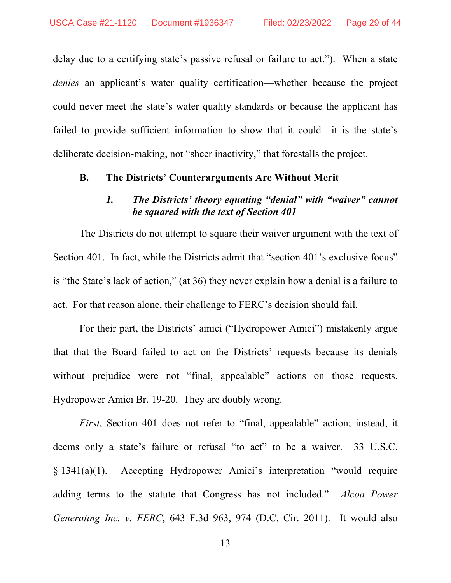delay due to a certifying state's passive refusal or failure to act."). When a state *denies* an applicant's water quality certification—whether because the project could never meet the state's water quality standards or because the applicant has failed to provide sufficient information to show that it could—it is the state's deliberate decision-making, not "sheer inactivity," that forestalls the project.

#### **B. The Districts' Counterarguments Are Without Merit**

# *1. The Districts' theory equating "denial" with "waiver" cannot be squared with the text of Section 401*

The Districts do not attempt to square their waiver argument with the text of Section 401. In fact, while the Districts admit that "section 401's exclusive focus" is "the State's lack of action," (at 36) they never explain how a denial is a failure to act. For that reason alone, their challenge to FERC's decision should fail.

For their part, the Districts' amici ("Hydropower Amici") mistakenly argue that that the Board failed to act on the Districts' requests because its denials without prejudice were not "final, appealable" actions on those requests. Hydropower Amici Br. 19-20. They are doubly wrong.

*First*, Section 401 does not refer to "final, appealable" action; instead, it deems only a state's failure or refusal "to act" to be a waiver. 33 U.S.C. § 1341(a)(1). Accepting Hydropower Amici's interpretation "would require adding terms to the statute that Congress has not included." *Alcoa Power Generating Inc. v. FERC*, 643 F.3d 963, 974 (D.C. Cir. 2011). It would also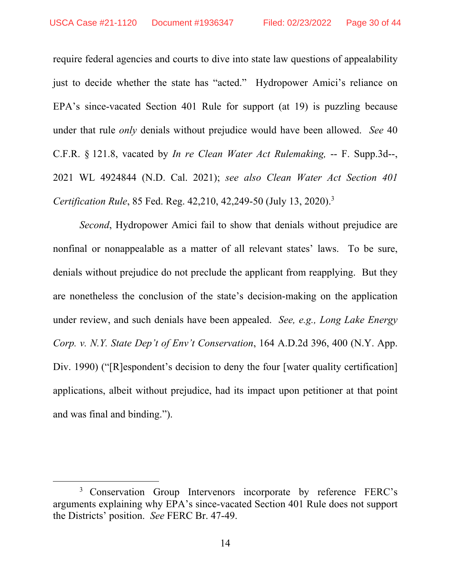require federal agencies and courts to dive into state law questions of appealability just to decide whether the state has "acted." Hydropower Amici's reliance on EPA's since-vacated Section 401 Rule for support (at 19) is puzzling because under that rule *only* denials without prejudice would have been allowed. *See* 40 C.F.R. § 121.8, vacated by *In re Clean Water Act Rulemaking,* -- F. Supp.3d--, 2021 WL 4924844 (N.D. Cal. 2021); *see also Clean Water Act Section 401 Certification Rule*, 85 Fed. Reg. 42,210, 42,249-50 (July 13, 2020).3

*Second*, Hydropower Amici fail to show that denials without prejudice are nonfinal or nonappealable as a matter of all relevant states' laws. To be sure, denials without prejudice do not preclude the applicant from reapplying. But they are nonetheless the conclusion of the state's decision-making on the application under review, and such denials have been appealed. *See, e.g., Long Lake Energy Corp. v. N.Y. State Dep't of Env't Conservation*, 164 A.D.2d 396, 400 (N.Y. App. Div. 1990) ("[R]espondent's decision to deny the four [water quality certification] applications, albeit without prejudice, had its impact upon petitioner at that point and was final and binding.").

<sup>&</sup>lt;sup>3</sup> Conservation Group Intervenors incorporate by reference FERC's arguments explaining why EPA's since-vacated Section 401 Rule does not support the Districts' position. *See* FERC Br. 47-49.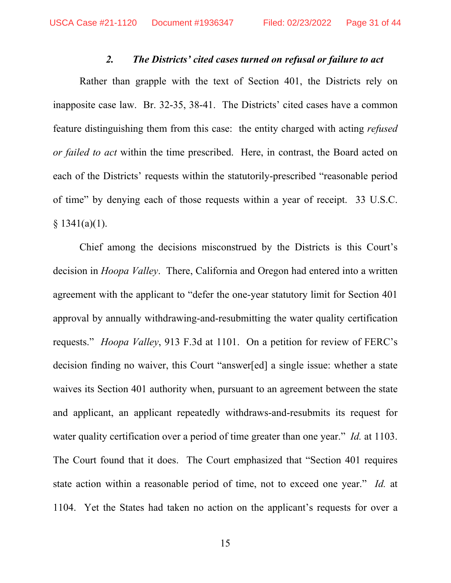#### *2. The Districts' cited cases turned on refusal or failure to act*

Rather than grapple with the text of Section 401, the Districts rely on inapposite case law. Br. 32-35, 38-41. The Districts' cited cases have a common feature distinguishing them from this case: the entity charged with acting *refused or failed to act* within the time prescribed. Here, in contrast, the Board acted on each of the Districts' requests within the statutorily-prescribed "reasonable period of time" by denying each of those requests within a year of receipt. 33 U.S.C.  $§ 1341(a)(1).$ 

Chief among the decisions misconstrued by the Districts is this Court's decision in *Hoopa Valley*. There, California and Oregon had entered into a written agreement with the applicant to "defer the one-year statutory limit for Section 401 approval by annually withdrawing-and-resubmitting the water quality certification requests." *Hoopa Valley*, 913 F.3d at 1101. On a petition for review of FERC's decision finding no waiver, this Court "answer[ed] a single issue: whether a state waives its Section 401 authority when, pursuant to an agreement between the state and applicant, an applicant repeatedly withdraws-and-resubmits its request for water quality certification over a period of time greater than one year." *Id.* at 1103. The Court found that it does. The Court emphasized that "Section 401 requires state action within a reasonable period of time, not to exceed one year." *Id.* at 1104. Yet the States had taken no action on the applicant's requests for over a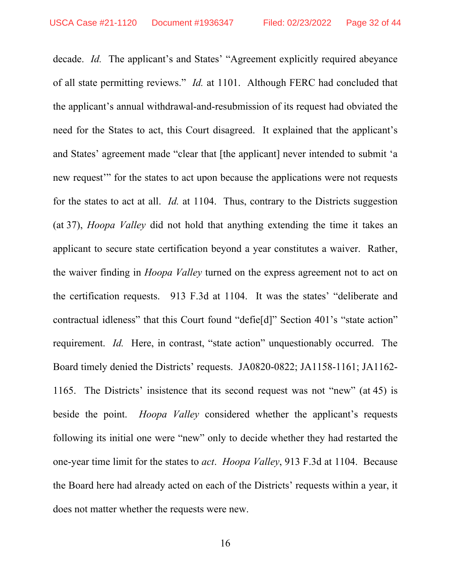decade. *Id.* The applicant's and States' "Agreement explicitly required abeyance of all state permitting reviews." *Id.* at 1101. Although FERC had concluded that the applicant's annual withdrawal-and-resubmission of its request had obviated the need for the States to act, this Court disagreed. It explained that the applicant's and States' agreement made "clear that [the applicant] never intended to submit 'a new request'" for the states to act upon because the applications were not requests for the states to act at all. *Id.* at 1104. Thus, contrary to the Districts suggestion (at 37), *Hoopa Valley* did not hold that anything extending the time it takes an applicant to secure state certification beyond a year constitutes a waiver. Rather, the waiver finding in *Hoopa Valley* turned on the express agreement not to act on the certification requests. 913 F.3d at 1104. It was the states' "deliberate and contractual idleness" that this Court found "defie[d]" Section 401's "state action" requirement. *Id.* Here, in contrast, "state action" unquestionably occurred. The Board timely denied the Districts' requests. JA0820-0822; JA1158-1161; JA1162- 1165. The Districts' insistence that its second request was not "new" (at 45) is beside the point. *Hoopa Valley* considered whether the applicant's requests following its initial one were "new" only to decide whether they had restarted the one-year time limit for the states to *act*. *Hoopa Valley*, 913 F.3d at 1104. Because the Board here had already acted on each of the Districts' requests within a year, it does not matter whether the requests were new.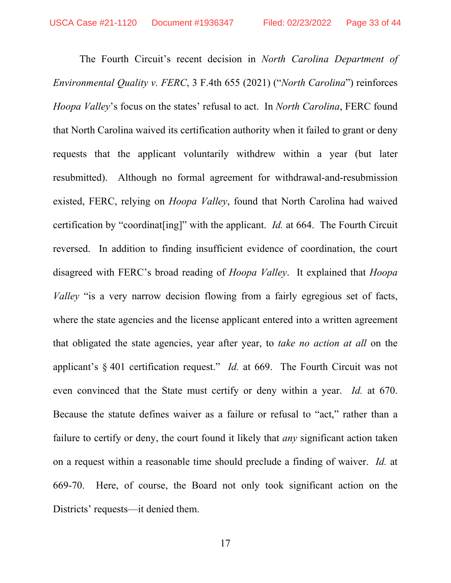The Fourth Circuit's recent decision in *North Carolina Department of Environmental Quality v. FERC*, 3 F.4th 655 (2021) ("*North Carolina*") reinforces *Hoopa Valley*'s focus on the states' refusal to act. In *North Carolina*, FERC found that North Carolina waived its certification authority when it failed to grant or deny requests that the applicant voluntarily withdrew within a year (but later resubmitted). Although no formal agreement for withdrawal-and-resubmission existed, FERC, relying on *Hoopa Valley*, found that North Carolina had waived certification by "coordinat[ing]" with the applicant. *Id.* at 664. The Fourth Circuit reversed. In addition to finding insufficient evidence of coordination, the court disagreed with FERC's broad reading of *Hoopa Valley*. It explained that *Hoopa Valley* "is a very narrow decision flowing from a fairly egregious set of facts, where the state agencies and the license applicant entered into a written agreement that obligated the state agencies, year after year, to *take no action at all* on the applicant's § 401 certification request." *Id.* at 669. The Fourth Circuit was not even convinced that the State must certify or deny within a year. *Id.* at 670. Because the statute defines waiver as a failure or refusal to "act," rather than a failure to certify or deny, the court found it likely that *any* significant action taken on a request within a reasonable time should preclude a finding of waiver. *Id.* at 669-70. Here, of course, the Board not only took significant action on the Districts' requests—it denied them.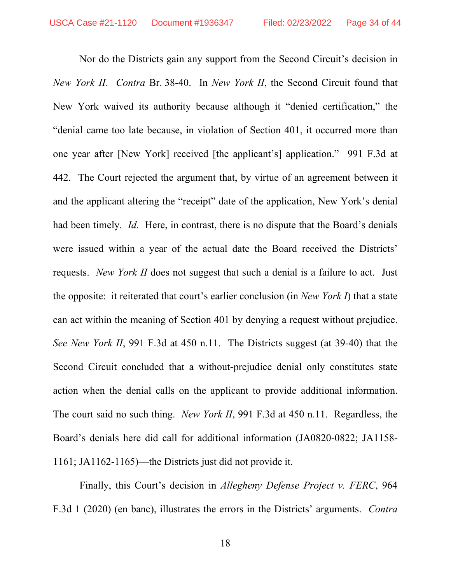Nor do the Districts gain any support from the Second Circuit's decision in *New York II*. *Contra* Br. 38-40. In *New York II*, the Second Circuit found that New York waived its authority because although it "denied certification," the "denial came too late because, in violation of Section 401, it occurred more than one year after [New York] received [the applicant's] application." 991 F.3d at 442. The Court rejected the argument that, by virtue of an agreement between it and the applicant altering the "receipt" date of the application, New York's denial had been timely. *Id.* Here, in contrast, there is no dispute that the Board's denials were issued within a year of the actual date the Board received the Districts' requests. *New York II* does not suggest that such a denial is a failure to act. Just the opposite: it reiterated that court's earlier conclusion (in *New York I*) that a state can act within the meaning of Section 401 by denying a request without prejudice. *See New York II*, 991 F.3d at 450 n.11. The Districts suggest (at 39-40) that the Second Circuit concluded that a without-prejudice denial only constitutes state action when the denial calls on the applicant to provide additional information. The court said no such thing. *New York II*, 991 F.3d at 450 n.11. Regardless, the Board's denials here did call for additional information (JA0820-0822; JA1158- 1161; JA1162-1165)—the Districts just did not provide it.

Finally, this Court's decision in *Allegheny Defense Project v. FERC*, 964 F.3d 1 (2020) (en banc), illustrates the errors in the Districts' arguments. *Contra*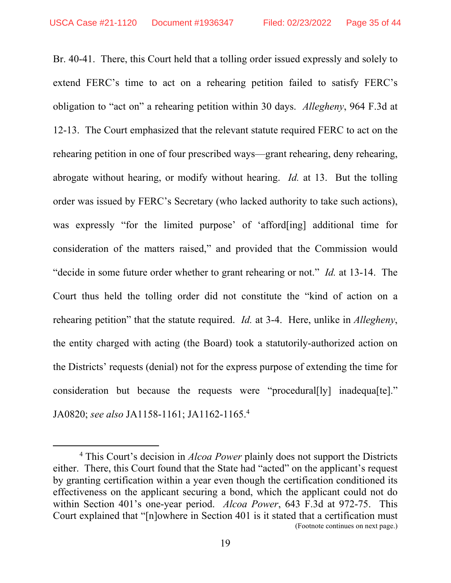Br. 40-41. There, this Court held that a tolling order issued expressly and solely to extend FERC's time to act on a rehearing petition failed to satisfy FERC's obligation to "act on" a rehearing petition within 30 days. *Allegheny*, 964 F.3d at 12-13. The Court emphasized that the relevant statute required FERC to act on the rehearing petition in one of four prescribed ways—grant rehearing, deny rehearing, abrogate without hearing, or modify without hearing. *Id.* at 13. But the tolling order was issued by FERC's Secretary (who lacked authority to take such actions), was expressly "for the limited purpose' of 'afford[ing] additional time for consideration of the matters raised," and provided that the Commission would "decide in some future order whether to grant rehearing or not." *Id.* at 13-14. The Court thus held the tolling order did not constitute the "kind of action on a rehearing petition" that the statute required. *Id.* at 3-4. Here, unlike in *Allegheny*, the entity charged with acting (the Board) took a statutorily-authorized action on the Districts' requests (denial) not for the express purpose of extending the time for consideration but because the requests were "procedural[ly] inadequa[te]." JA0820; *see also* JA1158-1161; JA1162-1165.4

 $\overline{4}$  This Court's decision in *Alcoa Power* plainly does not support the Districts either. There, this Court found that the State had "acted" on the applicant's request by granting certification within a year even though the certification conditioned its effectiveness on the applicant securing a bond, which the applicant could not do within Section 401's one-year period. *Alcoa Power*, 643 F.3d at 972-75. This Court explained that "[n]owhere in Section 401 is it stated that a certification must (Footnote continues on next page.)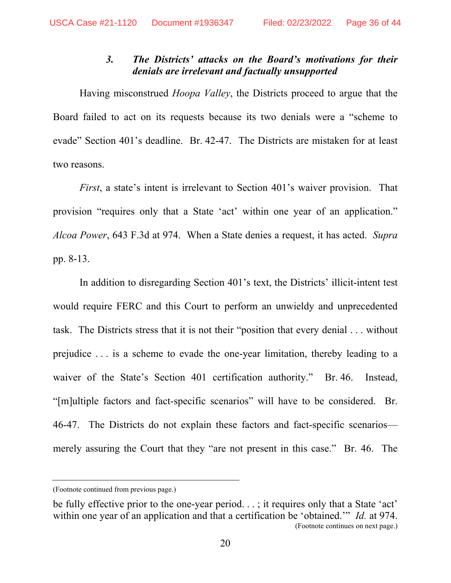### *3. The Districts' attacks on the Board's motivations for their denials are irrelevant and factually unsupported*

Having misconstrued *Hoopa Valley*, the Districts proceed to argue that the Board failed to act on its requests because its two denials were a "scheme to evade" Section 401's deadline. Br. 42-47. The Districts are mistaken for at least two reasons.

*First*, a state's intent is irrelevant to Section 401's waiver provision. That provision "requires only that a State 'act' within one year of an application." *Alcoa Power*, 643 F.3d at 974. When a State denies a request, it has acted. *Supra* pp. 8-13.

In addition to disregarding Section 401's text, the Districts' illicit-intent test would require FERC and this Court to perform an unwieldy and unprecedented task. The Districts stress that it is not their "position that every denial . . . without prejudice . . . is a scheme to evade the one-year limitation, thereby leading to a waiver of the State's Section 401 certification authority." Br. 46. Instead, "[m]ultiple factors and fact-specific scenarios" will have to be considered. Br. 46-47. The Districts do not explain these factors and fact-specific scenarios merely assuring the Court that they "are not present in this case." Br. 46. The

<sup>(</sup>Footnote continued from previous page.)

be fully effective prior to the one-year period. . .; it requires only that a State 'act' within one year of an application and that a certification be 'obtained.'" *Id.* at 974. (Footnote continues on next page.)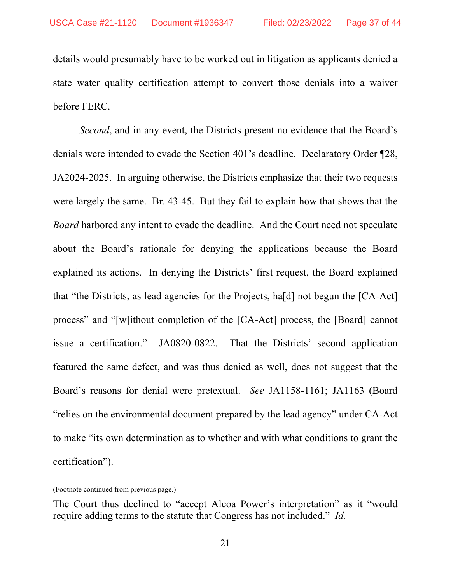details would presumably have to be worked out in litigation as applicants denied a state water quality certification attempt to convert those denials into a waiver before FERC.

*Second*, and in any event, the Districts present no evidence that the Board's denials were intended to evade the Section 401's deadline. Declaratory Order ¶28, JA2024-2025. In arguing otherwise, the Districts emphasize that their two requests were largely the same. Br. 43-45. But they fail to explain how that shows that the *Board* harbored any intent to evade the deadline. And the Court need not speculate about the Board's rationale for denying the applications because the Board explained its actions. In denying the Districts' first request, the Board explained that "the Districts, as lead agencies for the Projects, ha[d] not begun the [CA-Act] process" and "[w]ithout completion of the [CA-Act] process, the [Board] cannot issue a certification." JA0820-0822. That the Districts' second application featured the same defect, and was thus denied as well, does not suggest that the Board's reasons for denial were pretextual. *See* JA1158-1161; JA1163 (Board "relies on the environmental document prepared by the lead agency" under CA-Act to make "its own determination as to whether and with what conditions to grant the certification").

<sup>(</sup>Footnote continued from previous page.)

The Court thus declined to "accept Alcoa Power's interpretation" as it "would require adding terms to the statute that Congress has not included." *Id.*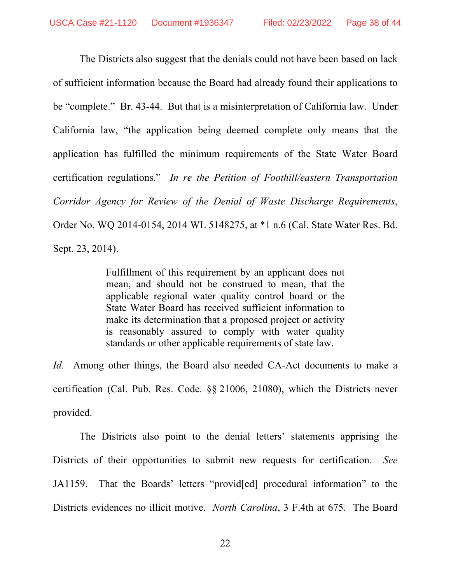The Districts also suggest that the denials could not have been based on lack of sufficient information because the Board had already found their applications to be "complete." Br. 43-44. But that is a misinterpretation of California law. Under California law, "the application being deemed complete only means that the application has fulfilled the minimum requirements of the State Water Board certification regulations." *In re the Petition of Foothill/eastern Transportation Corridor Agency for Review of the Denial of Waste Discharge Requirements*, Order No. WQ 2014-0154, 2014 WL 5148275, at \*1 n.6 (Cal. State Water Res. Bd. Sept. 23, 2014).

> Fulfillment of this requirement by an applicant does not mean, and should not be construed to mean, that the applicable regional water quality control board or the State Water Board has received sufficient information to make its determination that a proposed project or activity is reasonably assured to comply with water quality standards or other applicable requirements of state law.

*Id.* Among other things, the Board also needed CA-Act documents to make a certification (Cal. Pub. Res. Code. §§ 21006, 21080), which the Districts never provided.

The Districts also point to the denial letters' statements apprising the Districts of their opportunities to submit new requests for certification. *See* JA1159. That the Boards' letters "provid[ed] procedural information" to the Districts evidences no illicit motive. *North Carolina*, 3 F.4th at 675. The Board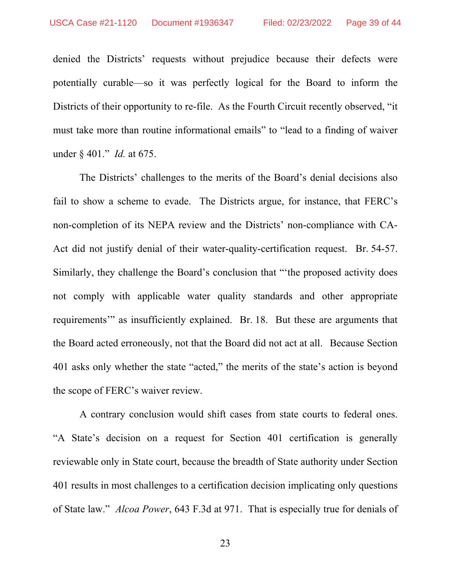denied the Districts' requests without prejudice because their defects were potentially curable—so it was perfectly logical for the Board to inform the Districts of their opportunity to re-file. As the Fourth Circuit recently observed, "it must take more than routine informational emails" to "lead to a finding of waiver under § 401." *Id.* at 675.

The Districts' challenges to the merits of the Board's denial decisions also fail to show a scheme to evade. The Districts argue, for instance, that FERC's non-completion of its NEPA review and the Districts' non-compliance with CA-Act did not justify denial of their water-quality-certification request. Br. 54-57. Similarly, they challenge the Board's conclusion that "'the proposed activity does not comply with applicable water quality standards and other appropriate requirements'" as insufficiently explained. Br. 18. But these are arguments that the Board acted erroneously, not that the Board did not act at all. Because Section 401 asks only whether the state "acted," the merits of the state's action is beyond the scope of FERC's waiver review.

A contrary conclusion would shift cases from state courts to federal ones. "A State's decision on a request for Section 401 certification is generally reviewable only in State court, because the breadth of State authority under Section 401 results in most challenges to a certification decision implicating only questions of State law." *Alcoa Power*, 643 F.3d at 971. That is especially true for denials of

23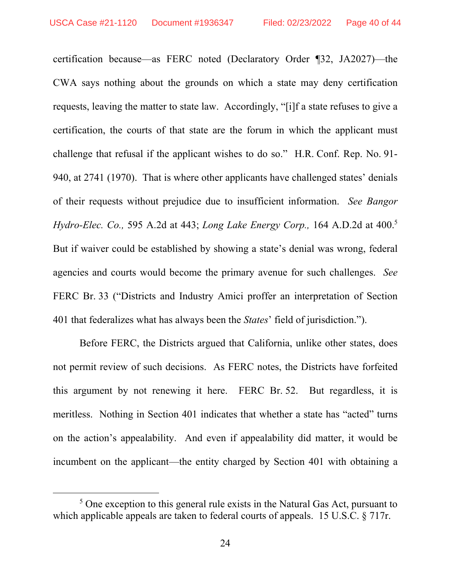certification because—as FERC noted (Declaratory Order ¶32, JA2027)—the CWA says nothing about the grounds on which a state may deny certification requests, leaving the matter to state law. Accordingly, "[i]f a state refuses to give a certification, the courts of that state are the forum in which the applicant must challenge that refusal if the applicant wishes to do so." H.R. Conf. Rep. No. 91- 940, at 2741 (1970). That is where other applicants have challenged states' denials of their requests without prejudice due to insufficient information. *See Bangor Hydro-Elec. Co.,* 595 A.2d at 443; *Long Lake Energy Corp.,* 164 A.D.2d at 400.5 But if waiver could be established by showing a state's denial was wrong, federal agencies and courts would become the primary avenue for such challenges. *See* FERC Br. 33 ("Districts and Industry Amici proffer an interpretation of Section 401 that federalizes what has always been the *States*' field of jurisdiction.").

Before FERC, the Districts argued that California, unlike other states, does not permit review of such decisions. As FERC notes, the Districts have forfeited this argument by not renewing it here. FERC Br. 52. But regardless, it is meritless. Nothing in Section 401 indicates that whether a state has "acted" turns on the action's appealability. And even if appealability did matter, it would be incumbent on the applicant—the entity charged by Section 401 with obtaining a

 $rac{1}{5}$  $<sup>5</sup>$  One exception to this general rule exists in the Natural Gas Act, pursuant to</sup> which applicable appeals are taken to federal courts of appeals. 15 U.S.C. § 717r.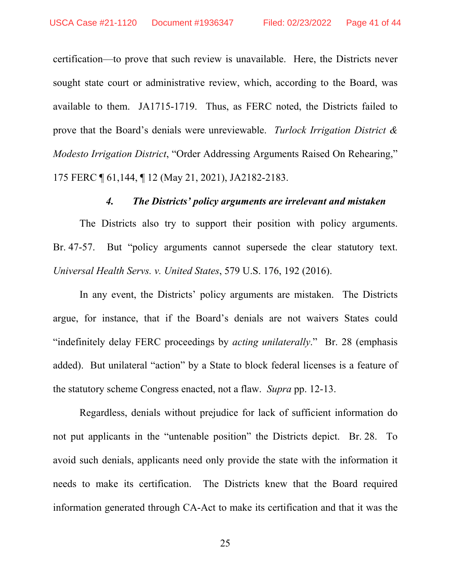certification—to prove that such review is unavailable. Here, the Districts never sought state court or administrative review, which, according to the Board, was available to them. JA1715-1719. Thus, as FERC noted, the Districts failed to prove that the Board's denials were unreviewable. *Turlock Irrigation District & Modesto Irrigation District*, "Order Addressing Arguments Raised On Rehearing," 175 FERC ¶ 61,144, ¶ 12 (May 21, 2021), JA2182-2183.

#### *4. The Districts' policy arguments are irrelevant and mistaken*

The Districts also try to support their position with policy arguments. Br. 47-57. But "policy arguments cannot supersede the clear statutory text. *Universal Health Servs. v. United States*, 579 U.S. 176, 192 (2016).

In any event, the Districts' policy arguments are mistaken. The Districts argue, for instance, that if the Board's denials are not waivers States could "indefinitely delay FERC proceedings by *acting unilaterally*." Br. 28 (emphasis added). But unilateral "action" by a State to block federal licenses is a feature of the statutory scheme Congress enacted, not a flaw. *Supra* pp. 12-13.

Regardless, denials without prejudice for lack of sufficient information do not put applicants in the "untenable position" the Districts depict. Br. 28. To avoid such denials, applicants need only provide the state with the information it needs to make its certification. The Districts knew that the Board required information generated through CA-Act to make its certification and that it was the

25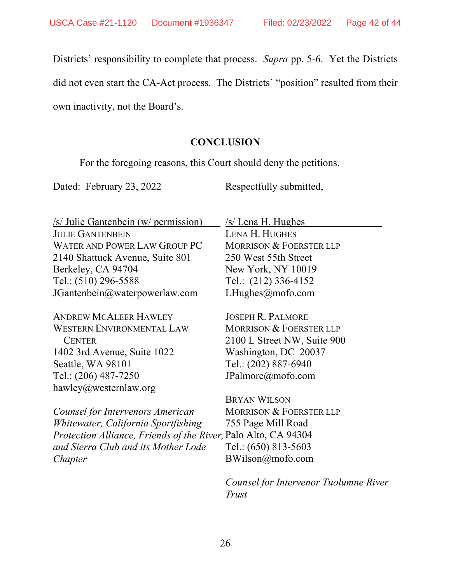Districts' responsibility to complete that process. *Supra* pp. 5-6. Yet the Districts

did not even start the CA-Act process. The Districts' "position" resulted from their

own inactivity, not the Board's.

# **CONCLUSION**

For the foregoing reasons, this Court should deny the petitions.

Dated: February 23, 2022

Respectfully submitted,

| /s/ Julie Gantenbein (w/ permission)                                  | /s/ Lena H. Hughes                 |
|-----------------------------------------------------------------------|------------------------------------|
| <b>JULIE GANTENBEIN</b>                                               | <b>LENA H. HUGHES</b>              |
| WATER AND POWER LAW GROUP PC                                          | <b>MORRISON &amp; FOERSTER LLP</b> |
| 2140 Shattuck Avenue, Suite 801                                       | 250 West 55th Street               |
| Berkeley, CA 94704                                                    | New York, NY 10019                 |
| Tel.: (510) 296-5588                                                  | Tel.: (212) 336-4152               |
| JGantenbein@waterpowerlaw.com                                         | LHughes@mofo.com                   |
| <b>ANDREW MCALEER HAWLEY</b>                                          | <b>JOSEPH R. PALMORE</b>           |
| WESTERN ENVIRONMENTAL LAW                                             | <b>MORRISON &amp; FOERSTER LLP</b> |
| <b>CENTER</b>                                                         | 2100 L Street NW, Suite 900        |
| 1402 3rd Avenue, Suite 1022                                           | Washington, DC 20037               |
| Seattle, WA 98101                                                     | Tel.: (202) 887-6940               |
| Tel.: (206) 487-7250                                                  | JPalmore@mofo.com                  |
| hawley@westernlaw.org                                                 |                                    |
|                                                                       | <b>BRYAN WILSON</b>                |
| Counsel for Intervenors American                                      | <b>MORRISON &amp; FOERSTER LLP</b> |
| Whitewater, California Sportfishing                                   | 755 Page Mill Road                 |
| <i>Protection Alliance, Friends of the River, Palo Alto, CA 94304</i> |                                    |
| and Sierra Club and its Mother Lode                                   | Tel.: (650) 813-5603               |
| Chapter                                                               | BWilson@mofo.com                   |
|                                                                       |                                    |

*Counsel for Intervenor Tuolumne River Trust*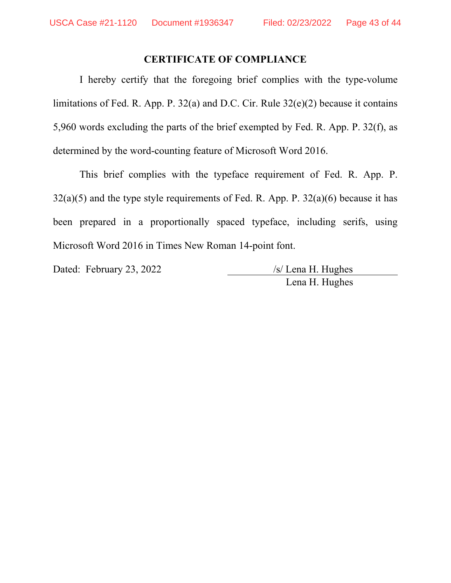# **CERTIFICATE OF COMPLIANCE**

I hereby certify that the foregoing brief complies with the type-volume limitations of Fed. R. App. P. 32(a) and D.C. Cir. Rule 32(e)(2) because it contains 5,960 words excluding the parts of the brief exempted by Fed. R. App. P. 32(f), as determined by the word-counting feature of Microsoft Word 2016.

This brief complies with the typeface requirement of Fed. R. App. P.  $32(a)(5)$  and the type style requirements of Fed. R. App. P.  $32(a)(6)$  because it has been prepared in a proportionally spaced typeface, including serifs, using Microsoft Word 2016 in Times New Roman 14-point font.

Dated: February 23, 2022 /s/ Lena H. Hughes

Lena H. Hughes